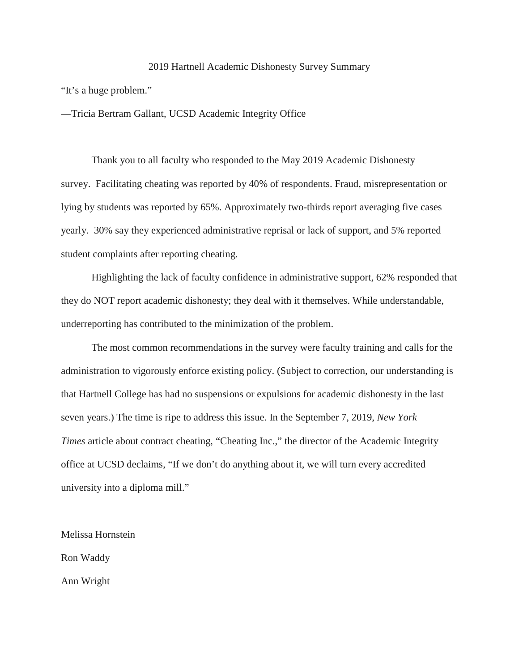#### 2019 Hartnell Academic Dishonesty Survey Summary

"It's a huge problem."

—Tricia Bertram Gallant, UCSD Academic Integrity Office

Thank you to all faculty who responded to the May 2019 Academic Dishonesty survey. Facilitating cheating was reported by 40% of respondents. Fraud, misrepresentation or lying by students was reported by 65%. Approximately two-thirds report averaging five cases yearly. 30% say they experienced administrative reprisal or lack of support, and 5% reported student complaints after reporting cheating.

Highlighting the lack of faculty confidence in administrative support, 62% responded that they do NOT report academic dishonesty; they deal with it themselves. While understandable, underreporting has contributed to the minimization of the problem.

The most common recommendations in the survey were faculty training and calls for the administration to vigorously enforce existing policy. (Subject to correction, our understanding is that Hartnell College has had no suspensions or expulsions for academic dishonesty in the last seven years.) The time is ripe to address this issue. In the September 7, 2019, *New York Times* article about contract cheating, "Cheating Inc.," the director of the Academic Integrity office at UCSD declaims, "If we don't do anything about it, we will turn every accredited university into a diploma mill."

Melissa Hornstein Ron Waddy Ann Wright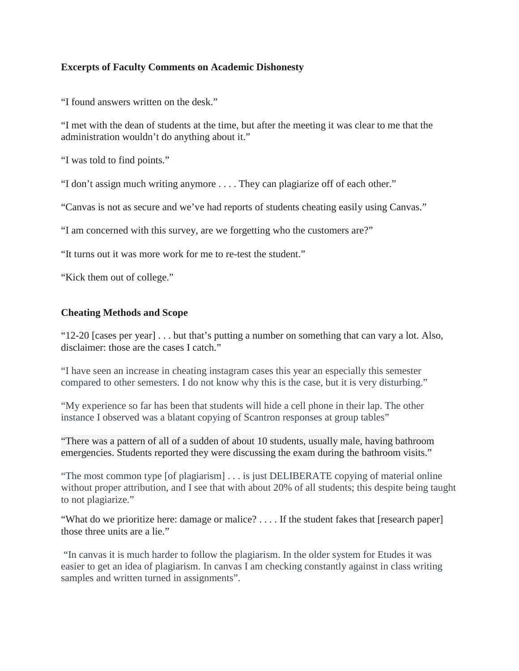## **Excerpts of Faculty Comments on Academic Dishonesty**

"I found answers written on the desk."

"I met with the dean of students at the time, but after the meeting it was clear to me that the administration wouldn't do anything about it."

"I was told to find points."

"I don't assign much writing anymore . . . . They can plagiarize off of each other."

"Canvas is not as secure and we've had reports of students cheating easily using Canvas."

"I am concerned with this survey, are we forgetting who the customers are?"

"It turns out it was more work for me to re-test the student."

"Kick them out of college."

### **Cheating Methods and Scope**

"12-20 [cases per year] . . . but that's putting a number on something that can vary a lot. Also, disclaimer: those are the cases I catch."

"I have seen an increase in cheating instagram cases this year an especially this semester compared to other semesters. I do not know why this is the case, but it is very disturbing."

"My experience so far has been that students will hide a cell phone in their lap. The other instance I observed was a blatant copying of Scantron responses at group tables"

"There was a pattern of all of a sudden of about 10 students, usually male, having bathroom emergencies. Students reported they were discussing the exam during the bathroom visits."

"The most common type [of plagiarism] . . . is just DELIBERATE copying of material online without proper attribution, and I see that with about 20% of all students; this despite being taught to not plagiarize."

"What do we prioritize here: damage or malice? . . . . If the student fakes that [research paper] those three units are a lie."

"In canvas it is much harder to follow the plagiarism. In the older system for Etudes it was easier to get an idea of plagiarism. In canvas I am checking constantly against in class writing samples and written turned in assignments".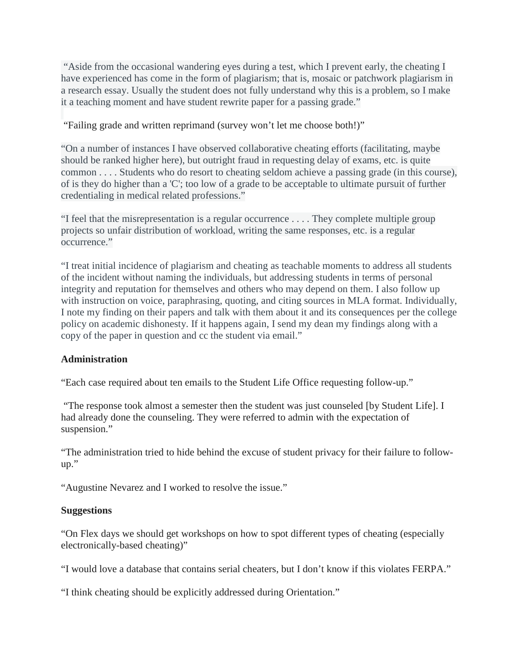"Aside from the occasional wandering eyes during a test, which I prevent early, the cheating I have experienced has come in the form of plagiarism; that is, mosaic or patchwork plagiarism in a research essay. Usually the student does not fully understand why this is a problem, so I make it a teaching moment and have student rewrite paper for a passing grade."

# "Failing grade and written reprimand (survey won't let me choose both!)"

"On a number of instances I have observed collaborative cheating efforts (facilitating, maybe should be ranked higher here), but outright fraud in requesting delay of exams, etc. is quite common . . . . Students who do resort to cheating seldom achieve a passing grade (in this course), of is they do higher than a 'C'; too low of a grade to be acceptable to ultimate pursuit of further credentialing in medical related professions."

"I feel that the misrepresentation is a regular occurrence . . . . They complete multiple group projects so unfair distribution of workload, writing the same responses, etc. is a regular occurrence."

"I treat initial incidence of plagiarism and cheating as teachable moments to address all students of the incident without naming the individuals, but addressing students in terms of personal integrity and reputation for themselves and others who may depend on them. I also follow up with instruction on voice, paraphrasing, quoting, and citing sources in MLA format. Individually, I note my finding on their papers and talk with them about it and its consequences per the college policy on academic dishonesty. If it happens again, I send my dean my findings along with a copy of the paper in question and cc the student via email."

# **Administration**

"Each case required about ten emails to the Student Life Office requesting follow-up."

"The response took almost a semester then the student was just counseled [by Student Life]. I had already done the counseling. They were referred to admin with the expectation of suspension."

"The administration tried to hide behind the excuse of student privacy for their failure to followup."

"Augustine Nevarez and I worked to resolve the issue."

#### **Suggestions**

"On Flex days we should get workshops on how to spot different types of cheating (especially electronically-based cheating)"

"I would love a database that contains serial cheaters, but I don't know if this violates FERPA."

"I think cheating should be explicitly addressed during Orientation."